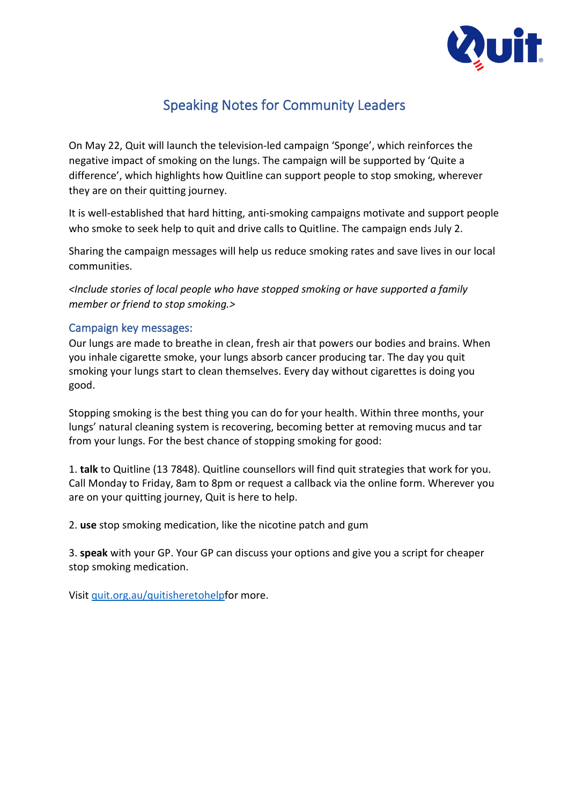

# Speaking Notes for Community Leaders

On May 22, Quit will launch the television-led campaign 'Sponge', which reinforces the negative impact of smoking on the lungs. The campaign will be supported by 'Quite a difference', which highlights how Quitline can support people to stop smoking, wherever they are on their quitting journey.

It is well-established that hard hitting, anti-smoking campaigns motivate and support people who smoke to seek help to quit and drive calls to Quitline. The campaign ends July 2.

Sharing the campaign messages will help us reduce smoking rates and save lives in our local communities.

*<Include stories of local people who have stopped smoking or have supported a family member or friend to stop smoking.>*

### Campaign key messages:

Our lungs are made to breathe in clean, fresh air that powers our bodies and brains. When you inhale cigarette smoke, your lungs absorb cancer producing tar. The day you quit smoking your lungs start to clean themselves. Every day without cigarettes is doing you good.

Stopping smoking is the best thing you can do for your health. Within three months, your lungs' natural cleaning system is recovering, becoming better at removing mucus and tar from your lungs. For the best chance of stopping smoking for good:

1. **talk** to Quitline (13 7848). Quitline counsellors will find quit strategies that work for you. Call Monday to Friday, 8am to 8pm or request a callback via the online form. Wherever you are on your quitting journey, Quit is here to help.

2. **use** stop smoking medication, like the nicotine patch and gum

3. **speak** with your GP. Your GP can discuss your options and give you a script for cheaper stop smoking medication.

Visi[t quit.org.au/quitisheretohelpf](https://www.quit.org.au/articles/quitisheretohelp/)or more.